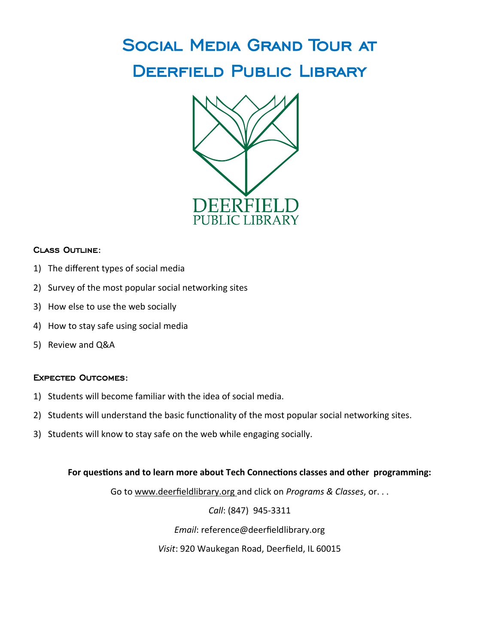## Social Media Grand Tour at DEERFIELD PUBLIC LIBRARY



#### Class Outline:

- 1) The different types of social media
- 2) Survey of the most popular social networking sites
- 3) How else to use the web socially
- 4) How to stay safe using social media
- 5) Review and Q&A

#### Expected Outcomes:

- 1) Students will become familiar with the idea of social media.
- 2) Students will understand the basic functionality of the most popular social networking sites.
- 3) Students will know to stay safe on the web while engaging socially.

#### **For questions and to learn more about Tech Connections classes and other programming:**

Go to www.deerfieldlibrary.org and click on *Programs & Classes*, or. . .

*Call*: (847) 945-3311

*Email*: reference@deerfieldlibrary.org

*Visit*: 920 Waukegan Road, Deerfield, IL 60015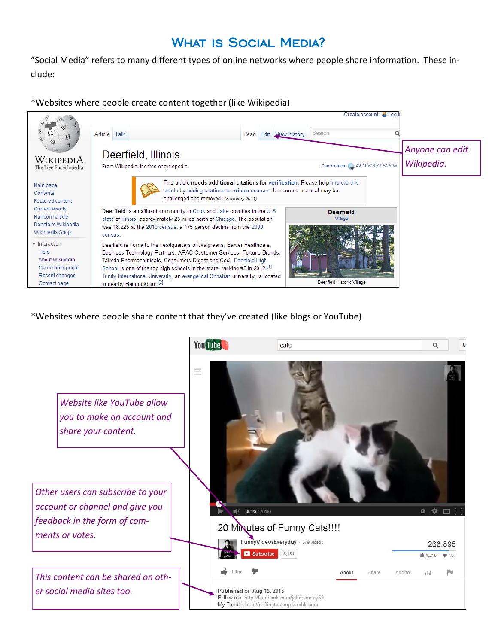### WHAT IS SOCIAL MEDIA?

"Social Media" refers to many different types of online networks where people share information. These include:

\*Websites where people create content together (like Wikipedia)



\*Websites where people share content that they've created (like blogs or YouTube)

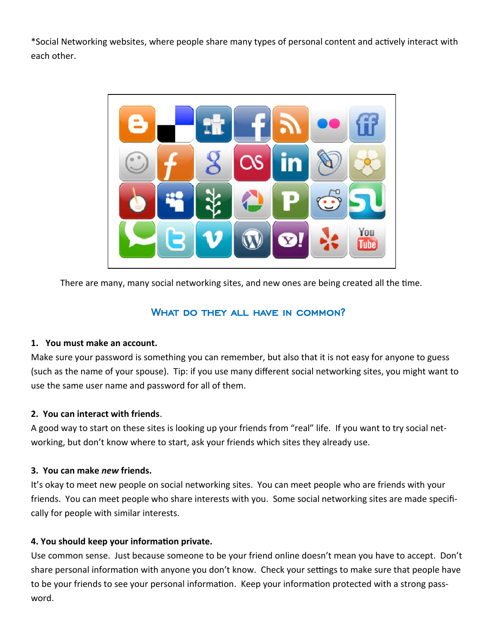\*Social Networking websites, where people share many types of personal content and actively interact with each other.



There are many, many social networking sites, and new ones are being created all the time.

#### WHAT DO THEY ALL HAVE IN COMMON?

#### **1. You must make an account.**

Make sure your password is something you can remember, but also that it is not easy for anyone to guess (such as the name of your spouse). Tip: if you use many different social networking sites, you might want to use the same user name and password for all of them.

#### **2. You can interact with friends**.

A good way to start on these sites is looking up your friends from "real" life. If you want to try social networking, but don't know where to start, ask your friends which sites they already use.

#### **3. You can make** *new* **friends.**

It's okay to meet new people on social networking sites. You can meet people who are friends with your friends. You can meet people who share interests with you. Some social networking sites are made specifically for people with similar interests.

#### **4. You should keep your information private.**

Use common sense. Just because someone to be your friend online doesn't mean you have to accept. Don't share personal information with anyone you don't know. Check your settings to make sure that people have to be your friends to see your personal information. Keep your information protected with a strong password.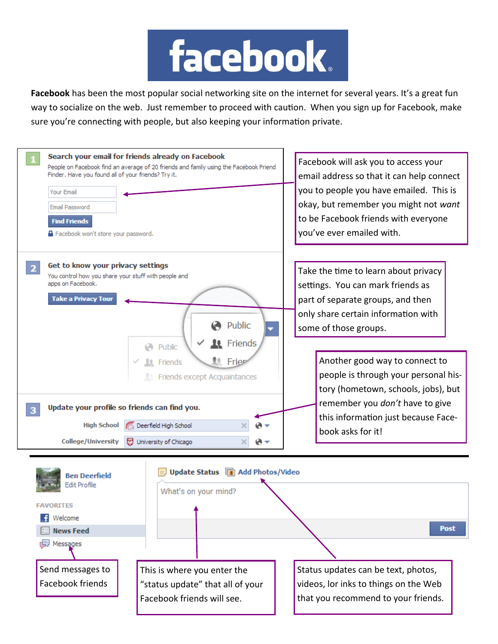

Facebook has been the most popular social networking site on the internet for several years. It's a great fun way to socialize on the web. Just remember to proceed with caution. When you sign up for Facebook, make sure you're connecting with people, but also keeping your information private.



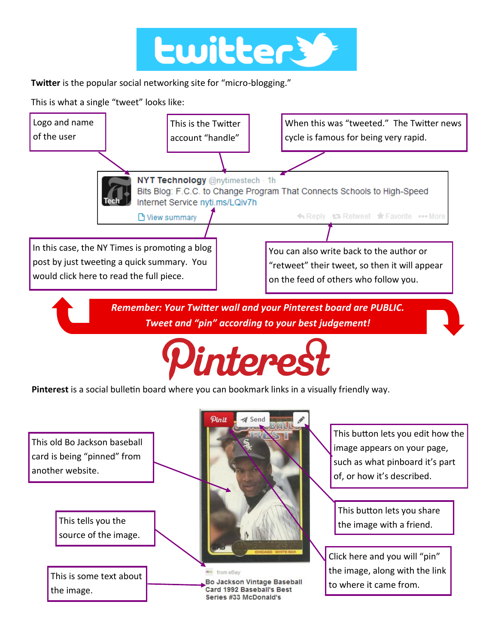

**Twitter** is the popular social networking site for "micro-blogging."

This is what a single "tweet" looks like: